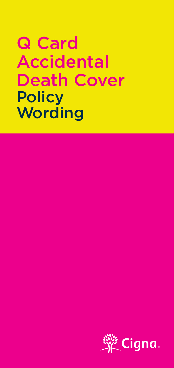# Q Card W Caru<br>Accidental **ACCIDENTED**<br>Death Cover **Death** POIICY<br>Mording Q Card Q Card Accidental Accidental Death Cover Death Cover **Policy Wording**

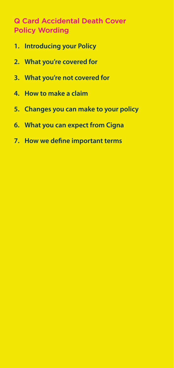## **Q Card Accidental Death Cover** Policy Wording

- **1. Introducing your Policy**
- **2. What you're covered for 2. What you're covered for**
- **3. What you're not covered for 3. What you're not covered for**
- **4. How to make a claim 4. How to make a claim**
- **5. Changes you can make to your policy 5. Changes you can make to your policy**
- **6. What you can expect from Cigna 6. What you can expect from Cigna**
- **7. How we define important terms 7. How we define important terms**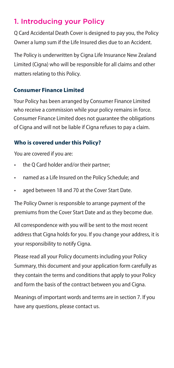### 1. Introducing your Policy

Q Card Accidental Death Cover is designed to pay you, the Policy Owner a lump sum if the Life Insured dies due to an Accident.

The Policy is underwritten by Cigna Life Insurance New Zealand Limited (Cigna) who will be responsible for all claims and other matters relating to this Policy.

# **Who is covered under this Policy?**  Q Card Accidental Death Cover is designed to pay you, the Policy **Consumer Finance Limited**

Your Policy has been arranged by Consumer Finance Limited who receive a commission while your policy remains in force. of Cigna and will not be liable if Cigna refuses to pay a claim. Consumer Finance Limited does not guarantee the obligations

#### • aged between 18 and 70 at the Cover Start Date. **Who is covered under this Policy?**

You are covered if you are:

- premiums from the Cover Start Date and as they become due. • the Q Card holder and/or their partner;
- All correspondence with you will be sent to the most recent address that Cigna holds for the component of your address, it is • named as a Life Insured on the Policy Schedule; and
- aged between 18 and 70 at the Cover Start Date.

The Policy Owner is responsible to arrange payment of the premiums from the Cover Start Date and as they become due.

All correspondence with you will be sent to the most recent address that Cigna holds for you. If you change your address, it is your responsibility to notify Cigna.

Please read all your Policy documents including your Policy Summary, this document and your application form carefully as they contain the terms and conditions that apply to your Policy and form the basis of the contract between you and Cigna.

Meanings of important words and terms are in section 7. If you have any questions, please contact us.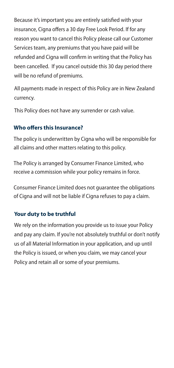Because it's important you are entirely satisfied with your insurance, Cigna offers a 30 day Free Look Period. If for any reason you want to cancel this Policy please call our Customer Services team, any premiums that you have paid will be refunded and Cigna will confirm in writing that the Policy has been cancelled. If you cancel outside this 30 day period there will be no refund of premiums.

All payments made in respect of this Policy are in New Zealand currency.

This Policy does not have any surrender or cash value.

### **Who offers this Insurance?**

The policy is underwritten by Cigna who will be responsible for all claims and other matters relating to this policy.

The Policy is arranged by Consumer Finance Limited, who receive a commission while your policy remains in force.<br>.

Consumer Finance Limited does not guarantee the obligations of Cigna and will not be liable if Cigna refuses to pay a claim.

### **Your duty to be truthful**

We rely on the information you provide us to issue your Policy and pay any claim. If you're not absolutely truthful or don't notify us of all Material Information in your application, and up until the Policy is issued, or when you claim, we may cancel your Policy and retain all or some of your premiums.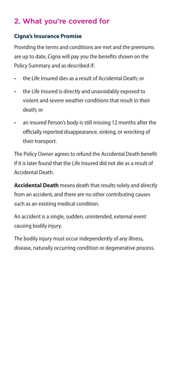## 2. What you're covered for

#### **Cigna's Insurance Promise**

Providing the terms and conditions are met and the premiums are up to date, Cigna will pay you the benefits shown on the Policy Summary and as described if:

- the Life Insured dies as a result of Accidental Death; or
- • the Life Insured is directly and unavoidably exposed to violent and severe weather conditions that result in their death; or
- an insured Person's body is still missing 12 months after the officially reported disappearance, sinking, or wrecking of their transport.

The Policy Owner agrees to refund the Accidental Death benefit if it is later found that the Life Insured did not die as a result of Accidental Death.

**Accidental Death** means death that results solely and directly from an accident, and there are no other contributing causes such as an existing medical condition.

An accident is a single, sudden, unintended, external event causing bodily injury.

The bodily injury must occur independently of any illness, disease, naturally occurring condition or degenerative process.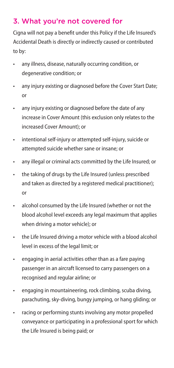## 3. What you're not covered for

Cigna will not pay a benefit under this Policy if the Life Insured's Accidental Death is directly or indirectly caused or contributed to by:

- any illness, disease, naturally occurring condition, or degenerative condition; or
- • any injury existing or diagnosed before the Cover Start Date; or
- any injury existing or diagnosed before the date of any increase in Cover Amount (this exclusion only relates to the increased Cover Amount); or
- • intentional self-injury or attempted self-injury, suicide or attempted suicide whether sane or insane; or
- any illegal or criminal acts committed by the Life Insured; or
- the taking of drugs by the Life Insured (unless prescribed and taken as directed by a registered medical practitioner); or
- alcohol consumed by the Life Insured (whether or not the blood alcohol level exceeds any legal maximum that applies when driving a motor vehicle); or
- the Life Insured driving a motor vehicle with a blood alcohol level in excess of the legal limit; or
- • engaging in aerial activities other than as a fare paying passenger in an aircraft licensed to carry passengers on a recognised and regular airline; or
- • engaging in mountaineering, rock climbing, scuba diving, parachuting, sky-diving, bungy jumping, or hang gliding; or
- • racing or performing stunts involving any motor propelled conveyance or participating in a professional sport for which the Life Insured is being paid; or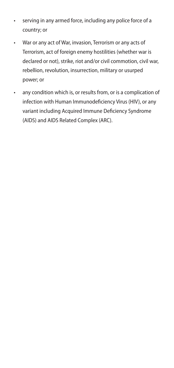- • serving in any armed force, including any police force of a country; or
- • War or any act of War, invasion, Terrorism or any acts of Terrorism, act of foreign enemy hostilities (whether war is declared or not), strike, riot and/or civil commotion, civil war, rebellion, revolution, insurrection, military or usurped power; or
- • any condition which is, or results from, or is a complication of infection with Human Immunodeficiency Virus (HIV), or any variant including Acquired Immune Deficiency Syndrome (AIDS) and AIDS Related Complex (ARC).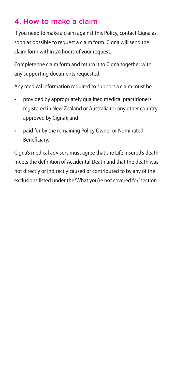### 4. How to make a claim

If you need to make a claim against this Policy, contact Cigna as soon as possible to request a claim form. Cigna will send the claim form within 24 hours of your request.

Complete the claim form and return it to Cigna together with any supporting documents requested.

Any medical information required to support a claim must be:

- provided by appropriately qualified medical practitioners registered in New Zealand or Australia (or any other country approved by Cigna); and
- • paid for by the remaining Policy Owner or Nominated Beneficiary.

Cigna's medical advisers must agree that the Life Insured's death meets the definition of Accidental Death and that the death was not directly or indirectly caused or contributed to by any of the exclusions listed under the 'What you're not covered for'section.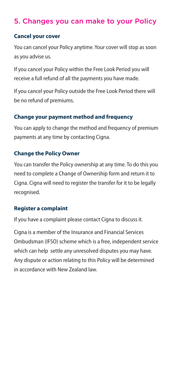### 5. Changes you can make to your Policy

#### **Cancel your cover**

You can cancel your Policy anytime. Your cover will stop as soon as you advise us.

If you cancel your Policy within the Free Look Period you will receive a full refund of all the payments you have made.

If you cancel your Policy outside the Free Look Period there will be no refund of premiums.

#### **Change your payment method and frequency**

You can apply to change the method and frequency of premium payments at any time by contacting Cigna.

#### **Change the Policy Owner**

You can transfer the Policy ownership at any time. To do this you need to complete a Change of Ownership form and return it to Cigna. Cigna will need to register the transfer for it to be legally recognised.

#### **Register a complaint**

If you have a complaint please contact Cigna to discuss it.

Cigna is a member of the Insurance and Financial Services Ombudsman (IFSO) scheme which is a free, independent service which can help settle any unresolved disputes you may have. Any dispute or action relating to this Policy will be determined in accordance with New Zealand law.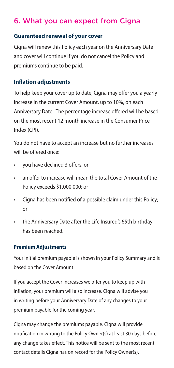### 6. What you can expect from Cigna

#### **Guaranteed renewal of your cover**

Cigna will renew this Policy each year on the Anniversary Date and cover will continue if you do not cancel the Policy and premiums continue to be paid.

#### **Inflation adjustments**

To help keep your cover up to date, Cigna may offer you a yearly increase in the current Cover Amount, up to 10%, on each Anniversary Date. The percentage increase offered will be based on the most recent 12 month increase in the Consumer Price Index (CPI).

You do not have to accept an increase but no further increases will be offered once:

- • you have declined 3 offers; or
- an offer to increase will mean the total Cover Amount of the Policy exceeds \$1,000,000; or
- • Cigna has been notified of a possible claim under this Policy; or
- the Anniversary Date after the Life Insured's 65th birthday has been reached.

#### **Premium adjustments Premium Adjustments**

Your initial premium payable is shown in your Policy Summary Your initial premium payable is shown in your Policy Summary and is based on the Cover Amount.

If you accept the Cover increases we offer you to keep up with If you accept the Cover increases we offer you to keep up with inflation, your premium will also increase. Cigna will advise you inflation, your premium will also increase. Cigna will advise you in writing before your Anniversary Date of any changes to your in writing before your Anniversary Date of any changes to your premium payable for the coming year. premium payable for the coming year.

Cigna may change the premiums payable. Cigna will provide notification in writing to the Policy Owner(s) at least 30 days before any change takes effect. This notice will be sent to the most recent contact details Cigna has on record for the Policy Owner(s).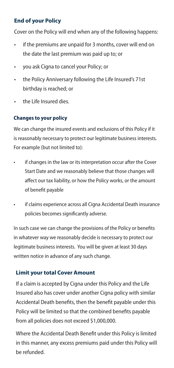#### **End of your Policy**

Cover on the Policy will end when any of the following happens:

- • if the premiums are unpaid for 3 months, cover will end on the date the last premium was paid up to; or
- • you ask Cigna to cancel your Policy; or
- the Policy Anniversary following the Life Insured's 71st birthday is reached; or
- • the Life Insured dies.

#### **Changes to your policy**

We can change the insured events and exclusions of this Policy if it is reasonably necessary to protect our legitimate business interests. For example (but not limited to):

- if changes in the law or its interpretation occur after the Cover Start Date and we reasonably believe that those changes will ancel our tax hability, or now the Folley works, or the amount  $\sigma$  benefit payable affect our tax liability, or how the Policy works, or the amount of benefit payable
- if claims experience across all Cigna Accidental Death insurance policies becomes significantly adverse.

In such case we can change the provisions of the Policy or benefits in whatever way we reasonably decide is necessary to protect our legitimate business interests. You will be given at least 30 days written notice in advance of any such change.

#### **Limit your total Cover Amount**

If a claim is accepted by Cigna under this Policy and the Life Insured also has cover under another Cigna policy with similar Accidental Death benefits, then the benefit payable under this Policy will be limited so that the combined benefits payable from all policies does not exceed \$1,000,000.

Where the Accidental Death Benefit under this Policy is limited in this manner, any excess premiums paid under this Policy will be refunded.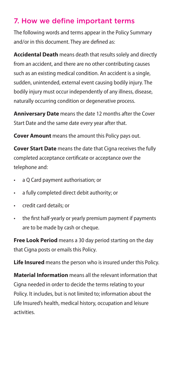### 7. How we define important terms

The following words and terms appear in the Policy Summary and/or in this document. They are defined as:

**Accidental Death** means death that results solely and directly from an accident, and there are no other contributing causes such as an existing medical condition. An accident is a single, sudden, unintended, external event causing bodily injury. The bodily injury must occur independently of any illness, disease, naturally occurring condition or degenerative process.

**Anniversary Date** means the date 12 months after the Cover Start Date and the same date every year after that.

**Cover Amount** means the amount this Policy pays out.

**Cover Start Date** means the date that Cigna receives the fully completed acceptance certificate or acceptance over the telephone and:

- • a Q Card payment authorisation; or
- • a fully completed direct debit authority; or
- • credit card details; or
- the first half-yearly or yearly premium payment if payments are to be made by cash or cheque.

**Free Look Period** means a 30 day period starting on the day that Cigna posts or emails this Policy.

**Life Insured** means the person who is insured under this Policy.

**Material Information** means all the relevant information that Cigna needed in order to decide the terms relating to your Policy. It includes, but is not limited to; information about the Life Insured's health, medical history, occupation and leisure activities.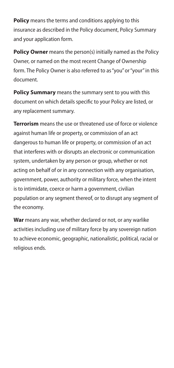**Policy** means the terms and conditions applying to this insurance as described in the Policy document, Policy Summary and your application form.

**Policy Owner** means the person(s) initially named as the Policy Owner, or named on the most recent Change of Ownership form. The Policy Owner is also referred to as "you" or "your" in this document.

**Policy Summary** means the summary sent to you with this document on which details specific to your Policy are listed, or any replacement summary.

**Terrorism** means the use or threatened use of force or violence against human life or property, or commission of an act dangerous to human life or property, or commission of an act that interferes with or disrupts an electronic or communication system, undertaken by any person or group, whether or not acting on behalf of or in any connection with any organisation, government, power, authority or military force, when the intent is to intimidate, coerce or harm a government, civilian population or any segment thereof, or to disrupt any segment of the economy.

**War** means any war, whether declared or not, or any warlike activities including use of military force by any sovereign nation to achieve economic, geographic, nationalistic, political, racial or religious ends.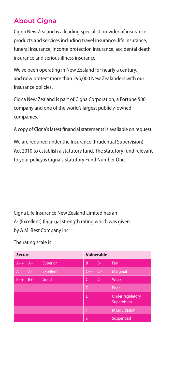### About Cigna

Cigna New Zealand is a leading specialist provider of insurance products and services including travel insurance, life insurance, funeral insurance, income protection insurance, accidental death insurance and serious illness insurance.

We've been operating in New Zealand for nearly a century, and now protect more than 295,000 New Zealanders with our insurance policies.

Cigna New Zealand is part of Cigna Corporation, a Fortune 500 company and one of the world's largest publicly-owned companies.

A copy of Cigna's latest financial statements is available on request.

We are required under the Insurance (Prudential Supervision) Act 2010 to establish a statutory fund. The statutory fund relevant to your policy is Cigna's Statutory Fund Number One.

Cigna Life Insurance New Zealand Limited has an A- (Excellent) financial strength rating which was given by A.M. Best Company Inc.

The rating scale is:

| <b>Secure</b> |       |                  | Vulnerable |       |                                        |
|---------------|-------|------------------|------------|-------|----------------------------------------|
| $A++$         | $A+$  | Superior         | B          | $B -$ | Fair                                   |
| A             | $A -$ | <b>Excellent</b> | $C++$      | $-C+$ | Marginal                               |
| $B++$         | $B+$  | Good             | C          | $C -$ | Weak                                   |
|               |       |                  | D          |       | Poor                                   |
|               |       |                  | E          |       | <b>Under regulatory</b><br>Supervision |
|               |       |                  | F          |       | In Liquidation                         |
|               |       |                  | S          |       | Suspended                              |